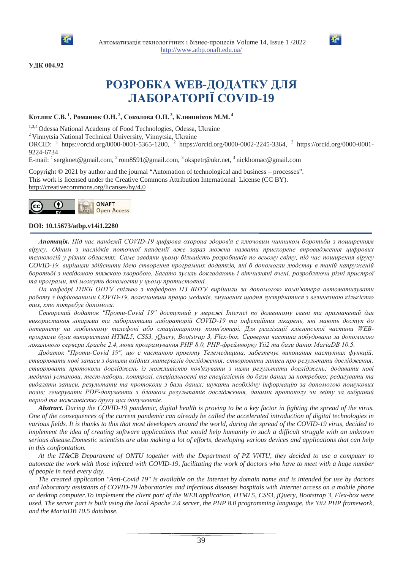



### УДК 004.92

# **РОЗРОБКА WEB-ДОДАТКУ ДЛЯ ɅȺȻɈɊȺɌɈɊȱȲ&29,'-19**

## $\boldsymbol{\mathrm{Kor},\mathrm{uK}}$  С.В.<sup>1</sup>, Романюк О.Н.<sup>2</sup>, Соколова О.П.<sup>3</sup>, Клюшніков М.М.<sup>4</sup>

<sup>1,3,4</sup> Odessa National Academy of Food Technologies, Odessa, Ukraine <sup>2</sup> Vinnytsia National Technical University, Vinnytsia, Ukraine

ORCID: <sup>1</sup> https://orcid.org/0000-0001-5365-1200, <sup>2</sup> https://orcid.org/0000-0002-2245-3364, <sup>3</sup> https://orcid.org/0000-0001- 9224-6734

E-mail:  $\frac{1}{2}$  sergknet@gmail.com,  $\frac{2}{2}$  rom8591@gmail.com,  $\frac{3}{2}$  okspetr@ukr.net,  $\frac{4}{2}$  nickhomac@gmail.com

Copyright © 2021 by author and the journal "Automation of technological and business – processes". This work is licensed under the Creative Commons Attribution International License (CC BY). http://creativecommons.org/licanses/by/4.0



### **DOI: 10.15673/atbp.v14i1.2280**

Анотація. Під час пандемії COVID-19 цифрова охорона здоров'я є ключовим чинником боротьби з поширенням вірусу. Одним з наслідків поточної пандемії вже зараз можна назвати прискорене впровадження шифрових технологій у різних областях. Саме завдяки цьому більшість розробників по всьому світу, під час поширення вірусу COVID-19, вирішили здійснити ідею створення програмних додатків, які б допомогли людству в такій напруженій боротьбі з невідомою тяжкою хворобою. Багато зусиль докладають і вітчизняні вчені, розробляючи різні пристрої та програми, які можуть допомогти у цьому протистоянні.

На кафедрі *ІТіКБ ОНТУ спільно з кафедрою ПЗ ВНТУ вирішили за допомогою комп'ютера автоматизувати* роботу з інфікованими COVID-19, полегшивши працю медиків, змушених щодня зустрічатися з величезною кількістю mux, xmo nompебує допомоги.

Створений додаток "Проти-Covid 19" доступний у мережі Internet по доменному імені та призначений для використання лікарями та лаборантами лабораторій COVID-19 та інфекційних лікарень, які мають доступ до інтернету на мобільному телефоні або стаціонарному комп'ютері. Для реалізації клієнтської частини WEB*програми були використані HTML5, CSS3, jOuery, Bootstrap 3, Flex-box. Серверна частина побудована за допомогою* локального сервера Apache 2.4, мови програмування PHP 8.0, PHP-фреймворку Yii2 та бази даних MariaDB 10.5.

Додаток "Проти-Covid 19", що є частиною проекту Телемедицина, забезпечує виконання наступних функцій: створювати нові записи з даними вхідних матеріалів дослідження; створювати записи про результати дослідження; створювати протоколи досліджень із можливістю пов'язувати з ними результати досліджень; додавати нові медичні установи, тест-набори, контролі, спеціальності та спеціалістів до бази даних за потребою; редагувати та видаляти записи, результати та протоколи з бази даних; шукати необхідну інформацію за допомогою пошукових полів; генерувати PDF-документи з бланком результатів дослідження, даними протоколу чи звіту за вибраний *період та можливістю друку иих документів.* 

*Abstract. During the COVID-19 pandemic, digital health is proving to be a key factor in fighting the spread of the virus. One of the consequences of the current pandemic can already be called the accelerated introduction of digital technologies in various fields. It is thanks to this that most developers around the world, during the spread of the COVID-19 virus, decided to implement the idea of creating software applications that would help humanity in such a difficult struggle with an unknown serious disease.Domestic scientists are also making a lot of efforts, developing various devices and applications that can help in this confrontation.*

*At the IT&CB Department of ONTU together with the Department of PZ VNTU, they decided to use a computer to automate the work with those infected with COVID-19, facilitating the work of doctors who have to meet with a huge number of people in need every day.*

*The created application "Anti-Covid 19" is available on the Internet by domain name and is intended for use by doctors and laboratory assistants of COVID-19 laboratories and infectious diseases hospitals with Internet access on a mobile phone or desktop computer.To implement the client part of the WEB application, HTML5, CSS3, jQuery, Bootstrap 3, Flex-box were used. The server part is built using the local Apache 2.4 server, the PHP 8.0 programming language, the Yii2 PHP framework, and the MariaDB 10.5 database.*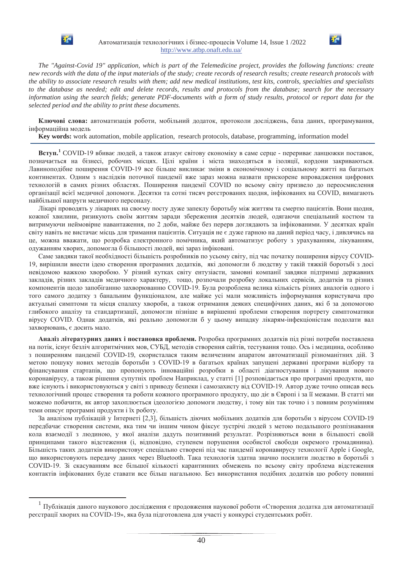

Автоматизація технологічних і бізнес-процесів Volume 14, Issue 1 /2022 http://www.atbp.onaft.edu.ua/



*The "Against-Covid 19" application, which is part of the Telemedicine project, provides the following functions: create new records with the data of the input materials of the study; create records of research results; create research protocols with the ability to associate research results with them; add new medical institutions, test kits, controls, specialties and specialists to the database as needed; edit and delete records, results and protocols from the database; search for the necessary information using the search fields; generate PDF-documents with a form of study results, protocol or report data for the selected period and the ability to print these documents.*

Ключові слова: автоматизація роботи, мобільний додаток, протоколи досліджень, база даних, програмування, інформаційна модель

**Key words:** work automation, mobile application, research protocols, database, programming, information model

Вступ.<sup>1</sup> COVID-19 вбиває людей, а також атакує світову економіку в саме серце - перериває ланцюжки поставок, позначається на бізнесі, робочих місцях. Пілі країни і міста знахоляться в ізоляції, корлони закриваються, Лавиноподібне поширення COVID-19 все більше викликає зміни в економічному і соціальному житті на багатьох континентах. Одним з наслідків поточної пандемії вже зараз можна назвати прискорене впровадження цифрових технологій в самих різних областях. Поширення пандемії COVID по всьому світу призвело до переосмислення організації всієї медичної допомоги. Десятки та сотні тисяч реєстрованих щодня, інфікованих на COVID, вимагають найбільшої напруги медичного персоналу.

Лікарі проводять у лікарнях на своєму посту дуже запеклу боротьбу між життям та смертю пацієнтів. Вони щодня, кожної хвилини, ризикують своїм життям заради збереження десятків людей, одягаючи спеціальний костюм та витримуючи неймовірне навантаження, по 2 доби, майже без перерв доглядають за інфікованими. У десятках країн світу навіть не вистачає місць для тримання пацієнтів. Ситуація не є дуже гарною на даний період часу, і дивлячись на це, можна вважати, що розробка електронного помічника, який автоматизує роботу з урахуванням, лікуванням, одужанням хворих, допомогла б більшості людей, які зараз інфіковані.

Саме завдяки такої необхідності більшість розробників по усьому світу, під час початку поширення вірусу COVID-19, вирішили внести ідею створення програмних додатків, які допомогли б людству у такій тяжкій боротьбі з досі невідомою важкою хворобою. У різний кутках світу ентузіасти, замовні компанії завдяки підтримці державних закладів, різних закладів медичного характеру, тощо, розпочали розробку локальних сервісів, додатків та різних компонентів щодо запобіганню захворюванню COVID-19. Була розроблена велика кількість різних аналогів одного і того самого додатку з банальним функціоналом, але майже усі мали можливість інформування користувача про актуальні симптоми та місця спалаху хвороби, а також отримання деяких специфічних даних, які б за допомогою глибокого аналізу та стандартизації, допомогли пізніше в вирішенні проблеми створення портрету симптоматики вірусу COVID. Однак додатків, які реально допомогли б у цьому випадку лікарям-інфекціоністам подолати вал захворювань, є досить мало.

Аналіз літературних даних і постановка проблеми. Розробка програмних додатків під різні потреби поставлена на потік, існує безліч алгоритмічних мов, СУБД, методів створення сайтів, тестування тощо. Ось і медицина, особливо з поширенням пандемії COVID-19, скористалася таким величезним апаратом автоматизації різноманітних дій. З метою пошуку нових методів боротьби з COVID-19 в багатьох країнах запущені державні програми відбору та фінансування стартапів, що пропонують інноваційні розробки в області діагностування і лікування нового коронавірусу, а також рішення супутніх проблем Наприклад, у статті [1] розповідається про програмні продукти, що вже існують і використовуються у світі з приводу безпеки і самозахисту від COVID-19. Автор дуже точно описав весь технологічний процес створення та роботи кожного програмного продукту, що діє в Європі і за її межами. В статті ми можемо побачити, як автор захоплюється ідеологією допомоги людству, і тому він так точно і з повним розумінням теми описує програмні продукти і їх роботу.

За аналізом публікацій у Інтернеті [2,3], більшість діючих мобільних додатків для боротьби з вірусом COVID-19 передбачає створення системи, яка тим чи іншим чином фіксує зустрічі людей з метою подальшого розпізнавання кола взаємодії з людиною, у якої аналізи дадуть позитивний результат. Розрізняються вони в більшості своїй принципами такого відстеження (і, відповідно, ступенем порушення особистої свободи окремого громадянина). Більшість таких додатків використовує спеціально створені під час пандемії коронавирусу технології Apple і Google, що використовують передачу даних через Bluetooth. Така технологія здатна значно посилити людство в боротьбі з COVID-19. Зі скасуванням все більшої кількості карантинних обмежень по всьому світу проблема відстеження контактів інфікованих буде ставати все більш нагальною. Без використання подібних додатків цю роботу повинні

 $^1$  Публікація даного наукового дослідження є продовження наукової роботи «Створення додатка для автоматизації реєстрації хворих на COVID-19», яка була підготовлена для участі у конкурсі студентських робіт.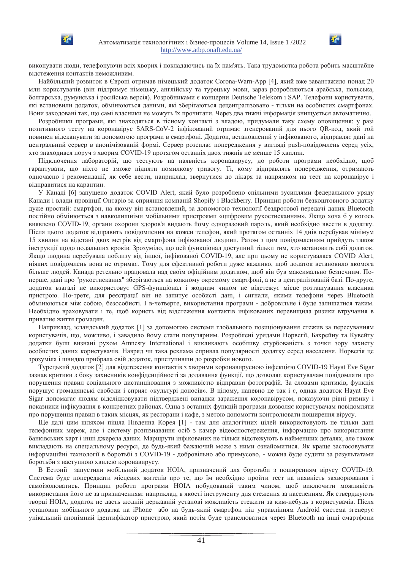370



Найбільший розвиток в Європі отримав німецький додаток Corona-Warn-App [4], який вже завантажило понад 20 млн користувачів (він підтримує німецьку, англійську та турецьку мови, зараз розробляються арабська, польська, болгарська, румунська і російська версія). Розробниками є концерни Deutsche Telekom і SAP. Телефони користувачів, які встановили додаток, обмінюються даними, які зберігаються децентралізовано - тільки на особистих смартфонах. Вони закодовані так, що самі власники не можуть їх прочитати. Через два тижні інформація знищується автоматично.

Розробники програми, які знаходяться в тісному контакті з владою, придумали таку схему оповіщення: у разі позитивного тесту на коронавірус SARS-CoV-2 інфікований отримає згенерований для нього QR-код, який той повинен відсканувати за допомогою програми в смартфоні. Додаток, встановлений у інфікованого, відправляє дані на центральний сервер в анонімізованій формі. Сервер розсилає попередження у вигляді ризһ-повідомлень серед усіх, хто знаходився поруч з хворим COVID-19 протягом останніх двох тижнів не менше 15 хвилин.

Підключення лабораторій, що тестують на наявність коронавирусу, до роботи програми необхідно, щоб гарантувати, що ніхто не зможе підняти помилкову тривогу. Ті, кому відправлять попередження, отримають одночасно і рекомендації, як себе вести, наприклад, звернутися до лікаря за напрямком на тест на коронавірус і відправитися на карантин.

У Канаді [6] запущено додаток COVID Alert, який було розроблено спільними зусиллями федерального уряду Канади і влади провінції Онтаріо за сприяння компаній Shopify і Blackberry. Принцип роботи безкоштовного додатку дуже простий: смартфон, на якому він встановлений, за допомогою технології бездротової передачі даних Bluetooth постійно обмінюється з навколишніми мобільними пристроями «цифровим рукостисканням». Якщо хоча б у когось виявлено COVID-19, органи охорони здоров'я видають йому одноразовий пароль, який необхідно ввести в додатку. Після цього додаток відправить повідомлення на кожен телефон, який протягом останніх 14 днів перебував мінімум 15 хвилин на відстані двох метрів від смартфона інфікованої людини. Разом з цим повідомленням прийдуть також інструкції щодо подальших кроків. Зрозуміло, що цей функціонал доступний тільки тим, хто встановить собі додаток. Якшо людина перебувала поблизу від іншої, інфікованої COVID-19, але при цьому не користувалася COVID Alert, ніяких повідомлень вона не отримає. Тому для ефективної роботи дуже важливо, щоб додаток встановило якомога більше людей. Канада ретельно працювала над своїм офіційним додатком, щоб він був максимально безпечним. Поперше, дані про "рукостискання" зберігаються на кожному окремому смартфоні, а не в централізованій базі. По-друге, додаток взагалі не використовує GPS-функціонал і жодним чином не відстежує місце розташування власника пристрою. По-третє, для реєстрації він не запитує особисті дані, і сигнали, якими телефони через Bluetooth обмінюються між собою, безособисті. І в-четверте, використання програми - добровільне і буде залишатися таким. Необхідно враховувати і те, щоб користь від відстеження контактів інфікованих перевищила ризики втручання в приватне життя громадян.

Наприклад, ісландський додаток [1] за допомогою системи глобального позиціонування стежив за пересуванням користувачів, що, можливо, і завадило йому стати популярним. Розроблені урядами Норвегії, Бахрейну та Кувейту додатки були визнані рухом Amnesty International і викликають особливу стурбованість з точки зору захисту особистих даних користувачів. Навряд чи така реклама сприяла популярності додатку серед населення. Норвегія це зрозуміла і швидко прибрала свій додаток, приступивши до розробки нового.

Турецький додаток [2] для відстеження контактів з хворими коронавирусною інфекцією COVID-19 Hayat Eve Sigar зазнав критики з боку захисників конфіденційності за додавання функції, що дозволяє користувачам повідомляти про порушення правил соціального дистанціювання з можливістю відправки фотографій. За словами критиків, функція порушує громадянські свободи і сприяє «культурі доносів». В цілому, напевно це так і є, однак додаток Hayat Eve Sigar допомагає людям відслідковувати підтверджені випадки зараження коронавірусом, показуючи рівні ризику і показники інфікування в конкретних районах. Одна з останніх функцій програми дозволяє користувачам повідомляти про порушення правил в таких місцях, як ресторани і кафе, з метою допомогти контролювати поширення вірусу.

Ще далі цим шляхом пішла Південна Корея [1] - там для аналогічних цілей використовують не тільки дані телефонних мереж, але і систему розпізнавання осіб з камер відеоспостереження, інформацію про використання банківських карт і інші джерела даних. Маршрути інфікованих не тільки відстежують в найменших деталях, але також викладають на спеціальному ресурсі, де будь-який бажаючий може з ними ознайомитися. Як краще застосовувати інформаційні технології в боротьбі з COVID-19 - добровільно або примусово, - можна буде судити за результатами боротьби з наступною хвилею коронавирусу.

В Естонії запустили мобільний додаток НОІА, призначений для боротьби з поширенням вірусу СОVID-19. Система буле поперелжати місцевих жителів про те, що їм необхілно пройти тест на наявність захворювання і самоізолюватись. Принцип роботи програми НОІА побудований таким чином, щоб виключити можливість використання його не за призначенням: наприклад, в якості інструменту для стеження за населенням. Як стверджують творці НОІА, додаток не дасть жодній державній установі можливість стежити за ким-небудь з користувачів. Після установки мобільного додатка на iPhone або на будь-який смартфон під управлінням Android система згенерує унікальний анонімний ідентифікатор пристрою, який потім буде транслюватися через Bluetooth на інші смартфони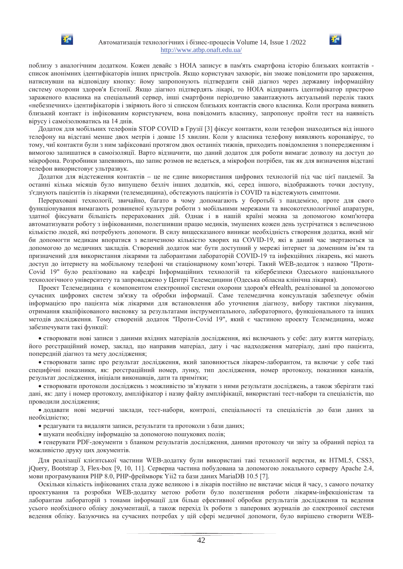



поблизу з аналогічним додатком. Кожен девайс з НОІА записує в пам'ять смартфона історію близьких контактів список анонімних ідентифікаторів інших пристроїв. Якщо користувач захворіє, він зможе повідомити про зараження, натиснувши на відповідну кнопку: йому запропонують підтвердити свій діагноз через державну інформаційну систему охорони здоров'я Естонії. Якщо діагноз підтвердять лікарі, то НОІА відправить ідентифікатор пристрою зараженого власника на спеціальний сервер, інші смартфони періодично завантажують актуальний перелік таких «небезпечних» ідентифікаторів і звіряють його зі списком близьких контактів свого власника. Коли програма виявить близький контакт із інфікованим користувачем, вона повідомить власнику, запропонує пройти тест на наявність вірусу і самоізолюватись на 14 днів.

Додаток для мобільних телефонів STOP COVID в Грузії [3] фіксує контакти, коли телефон знаходиться від іншого телефону на відстані менше двох метрів і довше 15 хвилин. Коли у власника телефону виявляють коронавірус, то тому, чиї контакти були з ним зафіксовані протягом двох останніх тижнів, приходить повідомлення з попередженням і вимогою залишатися в самоізоляції. Варто відзначити, що даний додаток для роботи вимагає дозволу на доступ до мікрофона. Розробники запевняють, що запис розмов не ведеться, а мікрофон потрібен, так як для визначення відстані телефон використовує ультразвук.

Додатки для відстеження контактів – це не єдине використання цифрових технологій під час цієї пандемії. За останні кілька місяців було випущено безліч інших додатків, які, серед іншого, відображають точки доступу, з'єднують пацієнтів із лікарями (телемедицина), обстежують пацієнтів із COVID та відстежують симптоми.

Перераховані технології, звичайно, багато в чому допомагають у боротьбі з пандемією, проте для свого функціонування вимагають розвиненої культури роботи з мобільними мережами та високотехнологічної апаратури, здатної фіксувати більшість перерахованих дій. Однак і в нашій країні можна за допомогою комп'ютера автоматизувати роботу з інфікованими, полегшивши працю медиків, змушених кожен день зустрічатися з величезною кількістю людей, які потребують допомоги. В силу вищесказаного виникає необхідність створення додатка, який міг би допомогти медикам впоратися з величезною кількістю хворих на COVID-19, які в даний час звертаються за допомогою до медичних закладів. Створений додаток має бути доступний у мережі інтернет за доменним ім'ям та призначений лля використання лікарями та лаборантами лабораторій COVID-19 та інфекційних лікарень, які мають доступ до інтернету на мобільному телефоні чи стаціонарному комп'ютері. Такий WEB-додаток з назвою "Проти-Covid 19" було реалізовано на кафедрі Інформаційних технологій та кібербезпеки Одеського національного технологічного університету та запроваджено у Центрі Телемедицини (Одеська обласна клінічна лікарня).

Проект Телемедицина с компонентом електронної системи охорони здоров'я eHealth, реалізованої за допомогою сучасних цифрових систем зв'язку та обробки інформації. Саме телемедична консультація забезпечує обмін інформацією про пацієнта між лікарями для встановлення або уточнення діагнозу, вибору тактики лікування, отримання кваліфікованого висновку за результатами інструментального, лабораторного, функціонального та інших методів дослідження. Тому створеній додаток "Проти-Covid 19", який є частиною проекту Телемедицина, може забезпечувати такі функції:

• створювати нові записи з даними вхідних матеріалів дослідження, які включають у себе: дату взяття матеріалу, його реєстраційний номер, заклад, що направив матеріал, дату і час надходження матеріалу, дані про пацієнта, попередній діагноз та мету дослідження;

• створювати запис про результат дослідження, який заповнюється лікарем-лаборантом, та включає у себе такі специфічні показники як; реєстраційний номер, лунку, тип лослілження, номер протоколу, показники каналів, результат дослідження, ініціали виконавців, дати та примітки;

• створювати протоколи досліджень з можливістю зв'язувати з ними результати досліджень, а також зберігати такі дані, як: дату і номер протоколу, ампліфікатор і назву файлу ампліфікації, використані тест-набори та спеціалістів, що проводили дослідження;

• додавати нові медичні заклади, тест-набори, контролі, спеціальності та спеціалістів до бази даних за необхілністю:

- редагувати та видаляти записи, результати та протоколи з бази даних;
- $\bullet$  шукати необхідну інформацію за допомогою пошукових полів;

• генерувати PDF-локументи з бланком результатів лослілження, даними протоколу чи звіту за обраний період та можливістю друку цих документів.

Для реалізації клієнтської частини WEB-додатку були використані такі технології верстки, як HTML5, CSS3, jQuery, Bootstrap 3, Flex-box [9, 10, 11]. Серверна частина побудована за допомогою локального серверу Apache 2.4, мови програмування PHP 8.0, PHP-фреймворк Yii2 та бази даних MariaDB 10.5 [7].

Оскільки кількість інфікованих стала дуже великою і в лікарів постійно не вистачає місця й часу, з самого початку проектування та розробки WEB-додатку метою роботи було полегшення роботи лікарям-інфекціоністам та лаборантам лабораторій з тонами інформації для більш ефективної обробки результатів дослідження та ведення усього необхідного обліку документації, а також перехід їх роботи з паперових журналів до електронної системи ведення обліку. Базуючись на сучасних потребах у цій сфері медичної допомоги, було вирішено створити WEB-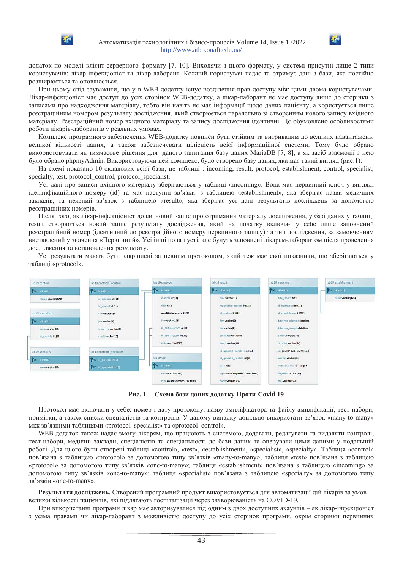



додаток по моделі клієнт-серверного формату [7, 10]. Виходячи з цього формату, у системі присутні лише 2 типи користувачів: лікар-інфекціоніст та лікар-лаборант. Кожний користувач надає та отримує дані з бази, яка постійно розширюється та оновлюється.

При цьому слід зауважити, що у в WEB-додатку існує розділення прав доступу між цими двома користувачами. Лікар-інфекціоніст має доступ до усіх сторінок WEB-додатку, а лікар-лаборант не має доступу лише до сторінки з записами про надходження матеріалу, тобто він навіть не має інформації щодо даних пацієнту, а користується лише реєстраційним номером результату дослідження, який створюється паралельно зі створенням нового запису вхідного матеріалу. Реєстраційний номер вхідного матеріалу та запису дослідження ідентичні. Це обумовлено особливостями роботи лікарів-лаборантів у реальних умовах.

Комплекс програмного забезпечення WEB-додатку повинен бути стійким та витривалим до великих навантажень, великої кількості даних, а також забезпечувати цілісність всієї інформаційної системи. Тому було обрано використовувати як тимчасове рішення для даного запитання базу даних MariaDB [7, 8], а як засіб взаємодії з нею було обрано phpmyAdmin. Використовуючи цей комплекс, було створено базу даних, яка має такий вигляд (рис.1):

На схемі показано 10 складових всієї бази, це таблиці : incoming, result, protocol, establishment, control, specialist, specialty, test, protocol\_control, protocol\_specialist.

Усі дані про записи вхідного матеріалу зберігаються у таблиці «incoming». Вона має первинний ключ у вигляді ідентифікаційного номеру (id) та має наступні зв'язки: з таблицею «establishment», яка зберігає назви медичних закладів, та неявний зв'язок з таблицею «result», яка зберігає усі дані результатів досліджень за допомогою реєстраційних номерів.

Після того, як лікар-інфекціоніст додає новий запис про отримання матеріалу дослідження, у базі даних у таблиці result створюється новий запис результату дослідження, який на початку включає у себе лише заповнений реєстраційний номер (ідентичний до реєстраційного номеру первинного запису) та тип дослідження, за замовченням виставлений у значення «Первинний». Усі інші поля пусті, але будуть заповнені лікарем-лаборантом після проведення дослідження та встановлення результату.

Усі результати мають бути закріплені за певним протоколом, який теж має свої показники, що зберігаються у таблиці «protocol».



Рис. 1. – Схема бази даних додатку Проти-Covid 19

Протокол має включати у себе: номер і дату протоколу, назву ампліфікатора та файлу ампліфікації, тест-набори, примітки, а також списки спеціалістів та контролів. У даному випадку доцільно використати зв'язок «many-to-many» між зв'язними таблицями «protocol specialist» та «protocol control».

WEB-додаток також надає змогу лікарям, що працюють з системою, додавати, редагувати та видаляти контролі, тест-набори, медичні заклади, спеціалістів та спеціальності до бази даних та оперувати цими даними у подальшій роботі. Для цього були створені таблиці «control», «test», «establishment», «specialist», «specialty». Таблиця «control» пов'язана з таблицею «protocol» за допомогою типу зв'язків «many-to-many»; таблиця «test» пов'язана з таблицею «protocol» за допомогою типу зв'язків «one-to-many»; таблиця «establishment» пов'язана з таблицею «incoming» за допомогою типу зв'язків «one-to-many»; таблиця «specialist» пов'язана з таблицею «specialty» за допомогою типу зв'язків «one-to-many».

Результати досліджень. Створений програмний продукт використовується для автоматизації дій лікарів за умов великої кількості пацієнтів, які підлягають госпіталізації через захворюваність на COVID-19.

При використанні програми лікар має авторизуватися піл одним з лвох лоступних акаунтів – як лікар-інфекціоніст з усіма правами чи лікар-лаборант з можливістю доступу до усіх сторінок програми, окрім сторінки первинних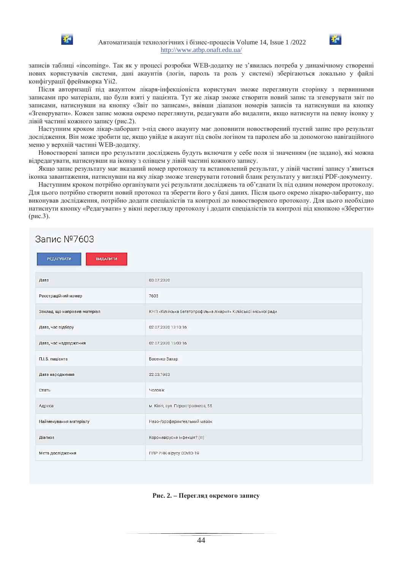



Після авторизації під акаунтом лікаря-інфекціоніста користувач зможе переглянути сторінку з первинними записами про матеріали, що були взяті у пацієнта. Тут же лікар зможе створити новий запис та згенерувати звіт по записами, натиснувши на кнопку «Звіт по записам», ввівши діапазон номерів записів та натиснувши на кнопку «Згенерувати». Кожен запис можна окремо переглянути, редагувати або видалити, якщо натиснути на певну іконку у лівій частині кожного запису (рис.2).

Наступним кроком лікар-лаборант з-під свого акаунту має доповнити новостворений пустий запис про результат дослідження. Він може зробити це, якщо увійде в акаунт під своїм логіном та паролем або за допомогою навігаційного меню у верхній частині WEB-додатку.

Новостворені записи про результати досліджень будуть включати у себе поля зі значенням (не задано), які можна відредагувати, натиснувши на іконку з олівцем у лівій частині кожного запису.

Якщо запис результату має вказаний номер протоколу та встановлений результат, у лівій частині запису з'явиться іконка завантаження, натиснувши на яку лікар зможе згенерувати готовий бланк результату у вигляді РDF-документу.

Наступним кроком потрібно організувати усі результати досліджень та об'єднати їх під одним номером протоколу. Для цього потрібно створити новий протокол та зберегти його у базі даних. Після цього окремо лікарю-лаборанту, що виконував дослідження, потрібно додати спеціалістів та контролі до новоствореного протоколу. Для цього необхідно натиснути кнопку «Редагувати» у вікні перегляду протоколу і додати спеціалістів та контролі під кнопкою «Зберегти»  $(pnc.3)$ .

# Запис №7603

| <b>РЕДАГУВАТИ</b><br><b>ВИДАЛИТИ</b> |                                                                 |
|--------------------------------------|-----------------------------------------------------------------|
| Дата                                 | 03.07.2020                                                      |
| Реєстраційний номер                  | 7603                                                            |
| Заклад, що направив матеріал         | КНП «Кілійська багатопрофільна лікарня» Кілійської міської ради |
| Дата, час відбору                    | 02.07.2020 13:10:16                                             |
| Дата, час надходження                | 02.07.2020 15:00:16                                             |
| П.І.Б. пацієнта                      | Босенко Захар                                                   |
| Дата народження                      | 22.03.1983                                                      |
| Стать                                | Чоловік                                                         |
| Адреса                               | м. Кілія, вул. Першотравнева, 55                                |
| Найменування матеріалу               | Назо-/орофарингеальний мазок                                    |
| Діагноз                              | Коронавірусна інфекція? (III)                                   |
| Мета дослідження                     | ПЛР РНК-вірусу COVID-19                                         |

### Рис. 2. – Перегляд окремого запису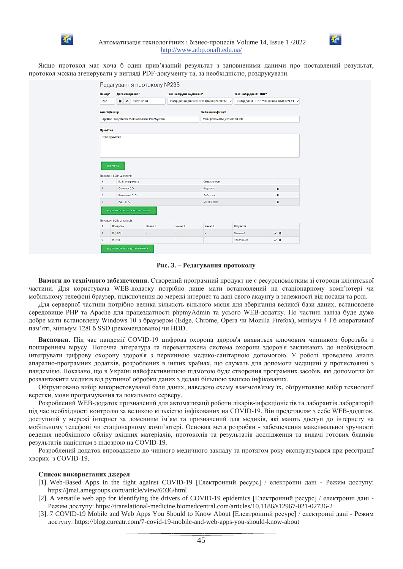



Якщо протокол має хоча б один прив'язаний результат з заповненими даними про поставлений результат, протокол можна згенерувати у вигляді PDF-документу та, за необхідністю, роздрукувати.

|                                              | Редагування протоколу №233                                                      |                             |                                           |                   |                        |             |
|----------------------------------------------|---------------------------------------------------------------------------------|-----------------------------|-------------------------------------------|-------------------|------------------------|-------------|
| Homep*                                       | Дата створення*                                                                 |                             | Тест-набір для виділення*                 |                   | Тест-набір для 3T-ПЛР* |             |
| 233                                          | 2022-02-03<br>٠<br>$\pmb{\times}$<br>Набір для виділення РНК QIAamp Viral RN. ~ |                             | Ha6ip для 3T-ПЛР Veri-Q nCoV-0M COVID-1 ~ |                   |                        |             |
| Ампліфікатор                                 |                                                                                 |                             |                                           | Файл ампліфікації |                        |             |
| Applied Biosystems 7500 Real-Time PCR System |                                                                                 | Veri-Q nCoV-OM_20220203.sds |                                           |                   |                        |             |
| Примітки                                     |                                                                                 |                             |                                           |                   |                        |             |
| зывити                                       | Показані 1-3 із 3 записів.                                                      |                             |                                           |                   |                        |             |
| H                                            | П.I.Б. спеціаліста                                                              |                             |                                           | Спеціальність     |                        |             |
| ٦                                            | Юрченко О.О.                                                                    |                             |                                           | ٠<br>Bipyconor    |                        |             |
| $\overline{2}$                               | Сенокосов О. С.                                                                 |                             |                                           | Лаборант<br>٠     |                        |             |
|                                              | Pygik B. A.                                                                     |                             |                                           | Mixpo6ionor       |                        | ٠           |
|                                              | ДОДАТИ СПЕЦІАЛІСТА ДО ПРОТОКОЛУ<br>Показані 1-2 із 2 записів.                   |                             |                                           |                   |                        |             |
| $\boldsymbol{u}$                             | Контроль                                                                        | Канал 1                     | Канал 2                                   | Канал 3           | Результат              |             |
| -1                                           | $B-(HK3)$                                                                       | $\sim$                      | $\sim$                                    | $+$               | Валідний               | $\lambda$ = |
| $\overline{2}$                               | $K-(NC)$                                                                        |                             |                                           | ٠                 | Невалідний             | $\prime$ 0  |

#### Рис. 3. – Редагування протоколу

**Вимоги ло технічного забезпечення.** Створений програмний пролукт не є ресурсномістким зі сторони клієнтської частини. Для користувача WEB-додатку потрібно лише мати встановлений на стаціонарному комп'ютері чи мобільному телефоні браузер, підключення до мережі інтернет та дані свого акаунту в залежності від посади та ролі.

Для серверної частини потрібно велика кількість вільного місця для зберігання великої бази даних, встановлене середовище PHP та Apache для працездатності phpmyAdmin та усього WEB-додатку. По частині заліза буде дуже добре мати встановлену Windows 10 з браузером (Edge, Chrome, Opera чи Mozilla Firefox), мінімум 4 Гб оперативної пам'яті, мінімум 128Гб SSD (рекомендовано) чи HDD.

Висновки. Під час пандемії COVID-19 цифрова охорона здоров'я виявиться ключовим чинником боротьби з поширенням вірусу. Поточна література та перевантажена система охорони здоров'я закликають до необхідності інтегрувати цифрову охорону здоров'я з первинною медико-санітарною допомогою. У роботі проведено аналіз апаратно-програмних додатків, розроблених в інших країнах, що служать для допомоги медицині у протистоянні з пандемією. Показано, що в Україні найефективнішою підмогою буде створення програмних засобів, які допомогли би розвантажити медиків від рутинної обробки даних з дедалі більшою хвилею інфікованих.

Обґрунтовано вибір використовуваної бази даних, наведено схему взаємозв'язку їх, обґрунтовано вибір технології верстки, мови програмування та локального серверу.

Розроблений WEB-додаток призначений для автоматизації роботи лікарів-інфекціоністів та лаборантів лабораторій під час необхідності контролю за великою кількістю інфікованих на COVID-19. Він представляє з себе WEB-додаток, доступний у мережі інтернет за доменним ім'ям та призначений для медиків, які мають доступ до інтернету на мобільному телефоні чи стаціонарному комп'ютері. Основна мета розробки - забезпечення максимальної зручності ведення необхідного обліку вхідних матеріалів, протоколів та результатів дослідження та видачі готових бланків результатів пацієнтам з підозрою на COVID-19.

Розроблений додаток впроваджено до чинного медичного закладу та протягом року експлуатувався при реєстрації хворих з COVID-19.

### Список використаних джерел

- [1]. Web-Based Apps in the fight against COVID-19 [Електронний ресурс] / електронні дані Режим доступу: https://jmai.amegroups.com/article/view/6036/html
- [2]. A versatile web app for identifying the drivers of COVID-19 epidemics [Електронний ресурс] / електронні дані -Режим доступу: https://translational-medicine.biomedcentral.com/articles/10.1186/s12967-021-02736-2
- [3]. 7 COVID-19 Mobile and Web Apps You Should to Know About [Електронний ресурс] / електронні дані Режим доступу: https://blog.cureatr.com/7-covid-19-mobile-and-web-apps-you-should-know-about